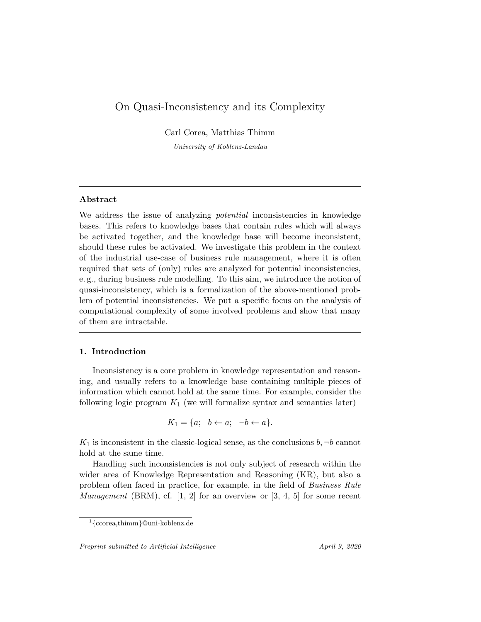# On Quasi-Inconsistency and its Complexity

Carl Corea, Matthias Thimm

University of Koblenz-Landau

# Abstract

We address the issue of analyzing *potential* inconsistencies in knowledge bases. This refers to knowledge bases that contain rules which will always be activated together, and the knowledge base will become inconsistent, should these rules be activated. We investigate this problem in the context of the industrial use-case of business rule management, where it is often required that sets of (only) rules are analyzed for potential inconsistencies, e. g., during business rule modelling. To this aim, we introduce the notion of quasi-inconsistency, which is a formalization of the above-mentioned problem of potential inconsistencies. We put a specific focus on the analysis of computational complexity of some involved problems and show that many of them are intractable.

# 1. Introduction

Inconsistency is a core problem in knowledge representation and reasoning, and usually refers to a knowledge base containing multiple pieces of information which cannot hold at the same time. For example, consider the following logic program  $K_1$  (we will formalize syntax and semantics later)

$$
K_1 = \{a; \ b \leftarrow a; \ \neg b \leftarrow a\}.
$$

 $K_1$  is inconsistent in the classic-logical sense, as the conclusions  $b, \neg b$  cannot hold at the same time.

Handling such inconsistencies is not only subject of research within the wider area of Knowledge Representation and Reasoning (KR), but also a problem often faced in practice, for example, in the field of Business Rule *Management* (BRM), cf.  $[1, 2]$  for an overview or  $[3, 4, 5]$  for some recent

<sup>1</sup> {ccorea,thimm}@uni-koblenz.de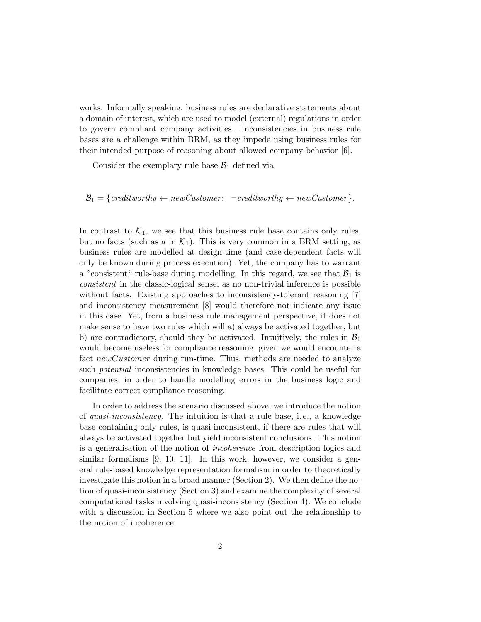works. Informally speaking, business rules are declarative statements about a domain of interest, which are used to model (external) regulations in order to govern compliant company activities. Inconsistencies in business rule bases are a challenge within BRM, as they impede using business rules for their intended purpose of reasoning about allowed company behavior [6].

Consider the exemplary rule base  $\mathcal{B}_1$  defined via

 $\mathcal{B}_1 = \{ \text{creditworthy} \leftarrow \text{newCustomer}; \ \neg \text{creditworthy} \leftarrow \text{newCustomer} \}.$ 

In contrast to  $\mathcal{K}_1$ , we see that this business rule base contains only rules, but no facts (such as a in  $\mathcal{K}_1$ ). This is very common in a BRM setting, as business rules are modelled at design-time (and case-dependent facts will only be known during process execution). Yet, the company has to warrant a "consistent" rule-base during modelling. In this regard, we see that  $B_1$  is consistent in the classic-logical sense, as no non-trivial inference is possible without facts. Existing approaches to inconsistency-tolerant reasoning [7] and inconsistency measurement [8] would therefore not indicate any issue in this case. Yet, from a business rule management perspective, it does not make sense to have two rules which will a) always be activated together, but b) are contradictory, should they be activated. Intuitively, the rules in  $\mathcal{B}_1$ would become useless for compliance reasoning, given we would encounter a fact newCustomer during run-time. Thus, methods are needed to analyze such potential inconsistencies in knowledge bases. This could be useful for companies, in order to handle modelling errors in the business logic and facilitate correct compliance reasoning.

In order to address the scenario discussed above, we introduce the notion of quasi-inconsistency. The intuition is that a rule base, i. e., a knowledge base containing only rules, is quasi-inconsistent, if there are rules that will always be activated together but yield inconsistent conclusions. This notion is a generalisation of the notion of incoherence from description logics and similar formalisms [9, 10, 11]. In this work, however, we consider a general rule-based knowledge representation formalism in order to theoretically investigate this notion in a broad manner (Section 2). We then define the notion of quasi-inconsistency (Section 3) and examine the complexity of several computational tasks involving quasi-inconsistency (Section 4). We conclude with a discussion in Section 5 where we also point out the relationship to the notion of incoherence.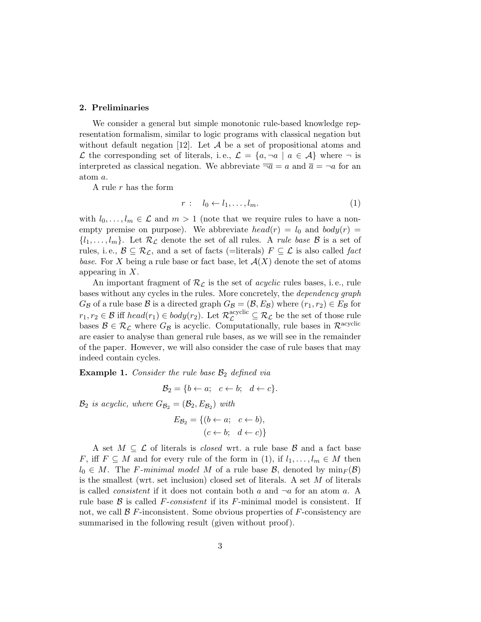## 2. Preliminaries

We consider a general but simple monotonic rule-based knowledge representation formalism, similar to logic programs with classical negation but without default negation [12]. Let  $A$  be a set of propositional atoms and L the corresponding set of literals, i.e.,  $\mathcal{L} = \{a, \neg a \mid a \in \mathcal{A}\}\$  where  $\neg$  is interpreted as classical negation. We abbreviate  $\overline{\neg a} = a$  and  $\overline{a} = \neg a$  for an atom a.

A rule r has the form

$$
r: l_0 \leftarrow l_1, \dots, l_m. \tag{1}
$$

with  $l_0, \ldots, l_m \in \mathcal{L}$  and  $m > 1$  (note that we require rules to have a nonempty premise on purpose). We abbreviate  $head(r) = l_0$  and  $body(r) =$  $\{l_1, \ldots, l_m\}$ . Let  $\mathcal{R}_{\mathcal{L}}$  denote the set of all rules. A *rule base B* is a set of rules, i.e.,  $\mathcal{B} \subseteq \mathcal{R}_{\mathcal{L}}$ , and a set of facts (=literals)  $F \subseteq \mathcal{L}$  is also called fact base. For X being a rule base or fact base, let  $\mathcal{A}(X)$  denote the set of atoms appearing in X.

An important fragment of  $\mathcal{R}_{\mathcal{L}}$  is the set of *acyclic* rules bases, i.e., rule bases without any cycles in the rules. More concretely, the dependency graph  $G_{\mathcal{B}}$  of a rule base  $\mathcal{B}$  is a directed graph  $G_{\mathcal{B}} = (\mathcal{B}, E_{\mathcal{B}})$  where  $(r_1, r_2) \in E_{\mathcal{B}}$  for  $r_1, r_2 \in \mathcal{B}$  iff  $head(r_1) \in body(r_2)$ . Let  $\mathcal{R}_{\mathcal{L}}^{acyclic} \subseteq \mathcal{R}_{\mathcal{L}}$  be the set of those rule bases  $\mathcal{B} \in \mathcal{R}_\mathcal{L}$  where  $G_\mathcal{B}$  is acyclic. Computationally, rule bases in  $\mathcal{R}^{\text{acyclic}}$ are easier to analyse than general rule bases, as we will see in the remainder of the paper. However, we will also consider the case of rule bases that may indeed contain cycles.

**Example 1.** Consider the rule base  $\mathcal{B}_2$  defined via

$$
\mathcal{B}_2 = \{b \leftarrow a; \quad c \leftarrow b; \quad d \leftarrow c\}.
$$

 $\mathcal{B}_2$  is acyclic, where  $G_{\mathcal{B}_2} = (\mathcal{B}_2, E_{\mathcal{B}_2})$  with

$$
E_{\mathcal{B}_2} = \{ (b \leftarrow a; \quad c \leftarrow b), (c \leftarrow b; \quad d \leftarrow c) \}
$$

A set  $M \subseteq \mathcal{L}$  of literals is *closed* wrt. a rule base  $\mathcal{B}$  and a fact base F, iff  $F \subseteq M$  and for every rule of the form in (1), if  $l_1, \ldots, l_m \in M$  then  $l_0 \in M$ . The F-minimal model M of a rule base B, denoted by  $\min_F(\mathcal{B})$ is the smallest (wrt. set inclusion) closed set of literals. A set M of literals is called *consistent* if it does not contain both a and  $\neg a$  for an atom a. A rule base  $\beta$  is called F-consistent if its F-minimal model is consistent. If not, we call  $\beta$  F-inconsistent. Some obvious properties of F-consistency are summarised in the following result (given without proof).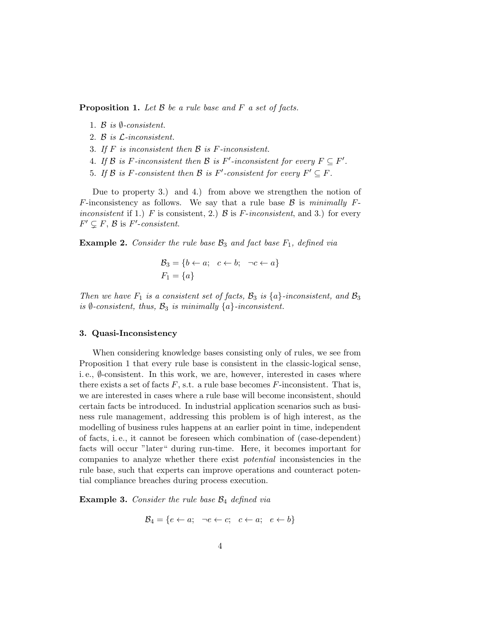**Proposition 1.** Let  $\beta$  be a rule base and  $F$  a set of facts.

- 1. B is  $\emptyset$ -consistent.
- 2. B is L-inconsistent.
- 3. If  $F$  is inconsistent then  $\mathcal B$  is  $F$ -inconsistent.
- 4. If B is F-inconsistent then B is F'-inconsistent for every  $F \subseteq F'$ .
- 5. If B is F-consistent then B is F'-consistent for every  $F' \subseteq F$ .

Due to property 3.) and 4.) from above we strengthen the notion of F-inconsistency as follows. We say that a rule base  $\beta$  is minimally Finconsistent if 1.) F is consistent, 2.) B is F-inconsistent, and 3.) for every  $F' \subsetneq F$ ,  $\beta$  is  $F'$ -consistent.

**Example 2.** Consider the rule base  $\mathcal{B}_3$  and fact base  $F_1$ , defined via

$$
\mathcal{B}_3 = \{b \leftarrow a; \quad c \leftarrow b; \quad \neg c \leftarrow a\}
$$

$$
F_1 = \{a\}
$$

Then we have  $F_1$  is a consistent set of facts,  $\mathcal{B}_3$  is  $\{a\}$ -inconsistent, and  $\mathcal{B}_3$ is  $\emptyset$ -consistent, thus,  $\mathcal{B}_3$  is minimally  $\{a\}$ -inconsistent.

#### 3. Quasi-Inconsistency

When considering knowledge bases consisting only of rules, we see from Proposition 1 that every rule base is consistent in the classic-logical sense, i.e.,  $\emptyset$ -consistent. In this work, we are, however, interested in cases where there exists a set of facts  $F$ , s.t. a rule base becomes  $F$ -inconsistent. That is, we are interested in cases where a rule base will become inconsistent, should certain facts be introduced. In industrial application scenarios such as business rule management, addressing this problem is of high interest, as the modelling of business rules happens at an earlier point in time, independent of facts, i. e., it cannot be foreseen which combination of (case-dependent) facts will occur "later" during run-time. Here, it becomes important for companies to analyze whether there exist potential inconsistencies in the rule base, such that experts can improve operations and counteract potential compliance breaches during process execution.

**Example 3.** Consider the rule base  $\mathcal{B}_4$  defined via

$$
\mathcal{B}_4 = \{e \leftarrow a; \neg e \leftarrow c; \quad e \leftarrow a; \quad e \leftarrow b\}
$$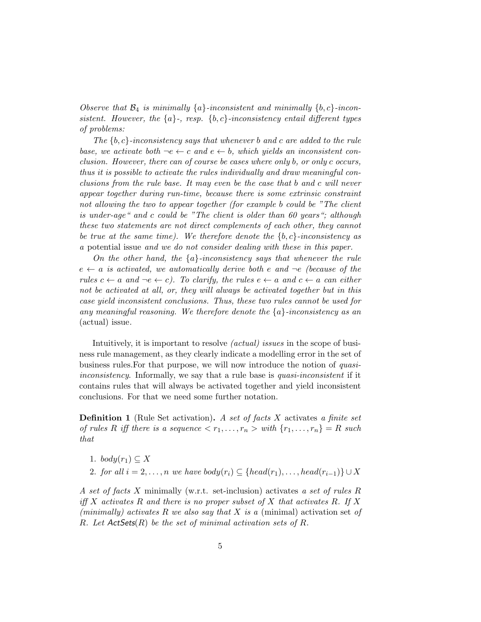Observe that  $\mathcal{B}_4$  is minimally  $\{a\}$ -inconsistent and minimally  $\{b, c\}$ -inconsistent. However, the  ${a}$ , resp.  ${b, c}$ -inconsistency entail different types of problems:

The  $\{b, c\}$ -inconsistency says that whenever b and c are added to the rule base, we activate both  $-e \leftarrow c$  and  $e \leftarrow b$ , which yields an inconsistent conclusion. However, there can of course be cases where only b, or only c occurs, thus it is possible to activate the rules individually and draw meaningful conclusions from the rule base. It may even be the case that b and c will never appear together during run-time, because there is some extrinsic constraint not allowing the two to appear together (for example b could be "The client is under-age" and c could be "The client is older than 60 years"; although these two statements are not direct complements of each other, they cannot be true at the same time). We therefore denote the  ${b, c}$ -inconsistency as a potential issue and we do not consider dealing with these in this paper.

On the other hand, the  ${a}$ -inconsistency says that whenever the rule  $e \leftarrow a$  is activated, we automatically derive both e and  $\neg e$  (because of the rules  $c \leftarrow a$  and  $\neg e \leftarrow c$ ). To clarify, the rules  $e \leftarrow a$  and  $c \leftarrow a$  can either not be activated at all, or, they will always be activated together but in this case yield inconsistent conclusions. Thus, these two rules cannot be used for any meaningful reasoning. We therefore denote the  ${a}$ -inconsistency as an (actual) issue.

Intuitively, it is important to resolve (actual) issues in the scope of business rule management, as they clearly indicate a modelling error in the set of business rules.For that purpose, we will now introduce the notion of quasiinconsistency. Informally, we say that a rule base is quasi-inconsistent if it contains rules that will always be activated together and yield inconsistent conclusions. For that we need some further notation.

**Definition 1** (Rule Set activation). A set of facts  $X$  activates a finite set of rules R iff there is a sequence  $\langle r_1, \ldots, r_n \rangle$  with  $\{r_1, \ldots, r_n\} = R$  such that

- 1. body $(r_1) \subset X$
- 2. for all  $i = 2, \ldots, n$  we have  $body(r_i) \subseteq \{head(r_1), \ldots, head(r_{i-1})\} \cup X$

A set of facts X minimally (w.r.t. set-inclusion) activates a set of rules R iff X activates R and there is no proper subset of X that activates R. If X (minimally) activates R we also say that X is a (minimal) activation set of R. Let  $ActSets(R)$  be the set of minimal activation sets of R.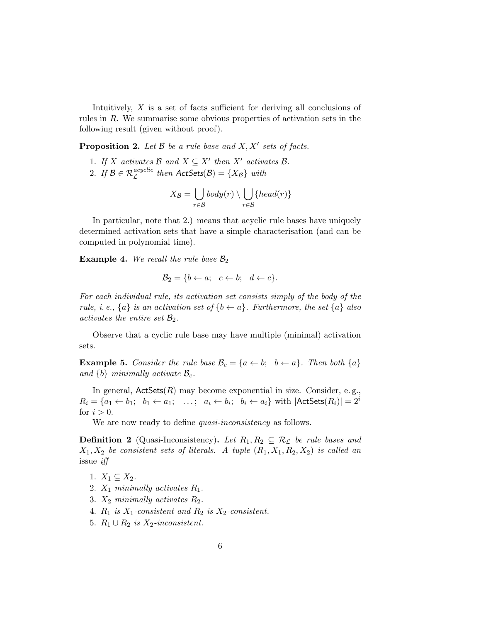Intuitively,  $X$  is a set of facts sufficient for deriving all conclusions of rules in R. We summarise some obvious properties of activation sets in the following result (given without proof).

**Proposition 2.** Let  $\mathcal{B}$  be a rule base and  $X, X'$  sets of facts.

1. If X activates B and  $X \subseteq X'$  then X' activates B.

2. If 
$$
\mathcal{B} \in \mathcal{R}_{\mathcal{L}}^{acyclic}
$$
 then  $\mathsf{Act} \mathsf{Sets}(\mathcal{B}) = \{X_{\mathcal{B}}\}$  with

$$
X_{\mathcal{B}} = \bigcup_{r \in \mathcal{B}} body(r) \setminus \bigcup_{r \in \mathcal{B}} \{head(r)\}\
$$

In particular, note that 2.) means that acyclic rule bases have uniquely determined activation sets that have a simple characterisation (and can be computed in polynomial time).

**Example 4.** We recall the rule base  $\mathcal{B}_2$ 

$$
\mathcal{B}_2 = \{b \leftarrow a; \quad c \leftarrow b; \quad d \leftarrow c\}.
$$

For each individual rule, its activation set consists simply of the body of the rule, i. e.,  $\{a\}$  is an activation set of  $\{b \leftarrow a\}$ . Furthermore, the set  $\{a\}$  also activates the entire set  $\mathcal{B}_2$ .

Observe that a cyclic rule base may have multiple (minimal) activation sets.

**Example 5.** Consider the rule base  $\mathcal{B}_c = \{a \leftarrow b; \, b \leftarrow a\}$ . Then both  $\{a\}$ and  $\{b\}$  minimally activate  $\mathcal{B}_c$ .

In general,  $ActSets(R)$  may become exponential in size. Consider, e.g.,  $R_i = \{a_1 \leftarrow b_1; b_1 \leftarrow a_1; \dots; a_i \leftarrow b_i; b_i \leftarrow a_i\}$  with  $|\mathsf{ActSets}(R_i)| = 2^i$ for  $i > 0$ .

We are now ready to define *quasi-inconsistency* as follows.

**Definition 2** (Quasi-Inconsistency). Let  $R_1, R_2 \subseteq R_{\mathcal{L}}$  be rule bases and  $X_1, X_2$  be consistent sets of literals. A tuple  $(R_1, X_1, R_2, X_2)$  is called an issue iff

- 1.  $X_1 \subseteq X_2$ .
- 2.  $X_1$  minimally activates  $R_1$ .
- 3.  $X_2$  minimally activates  $R_2$ .
- 4.  $R_1$  is  $X_1$ -consistent and  $R_2$  is  $X_2$ -consistent.
- 5.  $R_1 \cup R_2$  is  $X_2$ -inconsistent.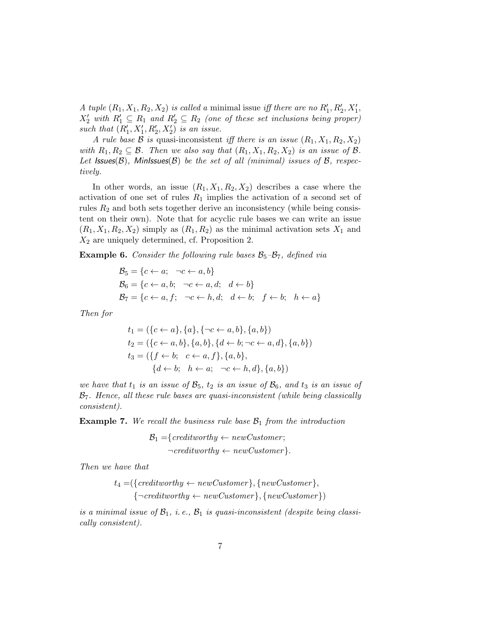A tuple  $(R_1, X_1, R_2, X_2)$  is called a minimal issue iff there are no  $R'_1, R'_2, X'_1$ ,  $X_2'$  with  $R_1' \subseteq R_1$  and  $R_2' \subseteq R_2$  (one of these set inclusions being proper) such that  $(R'_1, X'_1, R'_2, X'_2)$  is an issue.

A rule base B is quasi-inconsistent iff there is an issue  $(R_1, X_1, R_2, X_2)$ with  $R_1, R_2 \subseteq \mathcal{B}$ . Then we also say that  $(R_1, X_1, R_2, X_2)$  is an issue of  $\mathcal{B}$ . Let Issues( $\mathcal{B}$ ), MinIssues( $\mathcal{B}$ ) be the set of all (minimal) issues of  $\mathcal{B}$ , respectively.

In other words, an issue  $(R_1, X_1, R_2, X_2)$  describes a case where the activation of one set of rules  $R_1$  implies the activation of a second set of rules  $R_2$  and both sets together derive an inconsistency (while being consistent on their own). Note that for acyclic rule bases we can write an issue  $(R_1, X_1, R_2, X_2)$  simply as  $(R_1, R_2)$  as the minimal activation sets  $X_1$  and  $X_2$  are uniquely determined, cf. Proposition 2.

**Example 6.** Consider the following rule bases  $\mathcal{B}_5-\mathcal{B}_7$ , defined via

$$
\mathcal{B}_5 = \{c \leftarrow a; \quad \neg c \leftarrow a, b\}
$$
  
\n
$$
\mathcal{B}_6 = \{c \leftarrow a, b; \quad \neg c \leftarrow a, d; \quad d \leftarrow b\}
$$
  
\n
$$
\mathcal{B}_7 = \{c \leftarrow a, f; \quad \neg c \leftarrow h, d; \quad d \leftarrow b; \quad f \leftarrow b; \quad h \leftarrow a\}
$$

Then for

$$
t_1 = (\{c \leftarrow a\}, \{a\}, \{\neg c \leftarrow a, b\}, \{a, b\})
$$
  
\n
$$
t_2 = (\{c \leftarrow a, b\}, \{a, b\}, \{d \leftarrow b; \neg c \leftarrow a, d\}, \{a, b\})
$$
  
\n
$$
t_3 = (\{f \leftarrow b; c \leftarrow a, f\}, \{a, b\}, \{d \leftarrow b; h \leftarrow a; c \leftarrow h, d\}, \{a, b\})
$$

we have that  $t_1$  is an issue of  $\mathcal{B}_5$ ,  $t_2$  is an issue of  $\mathcal{B}_6$ , and  $t_3$  is an issue of  $B<sub>7</sub>$ . Hence, all these rule bases are quasi-inconsistent (while being classically consistent).

**Example 7.** We recall the business rule base  $\mathcal{B}_1$  from the introduction

$$
\mathcal{B}_1 = \{ \text{creditworthy} \leftarrow \text{newCustomer}; \\ \neg \text{creditworthy} \leftarrow \text{newCustomer} \}.
$$

Then we have that

$$
t_4 = (\{ \text{creditworthy} \leftarrow newCustomer \}, \{ \text{newCustomer} \}, \\ \{ \neg \text{creditworthy} \leftarrow newCustomer \}, \{ \text{newCustomer} \})
$$

is a minimal issue of  $\mathcal{B}_1$ , i.e.,  $\mathcal{B}_1$  is quasi-inconsistent (despite being classically consistent).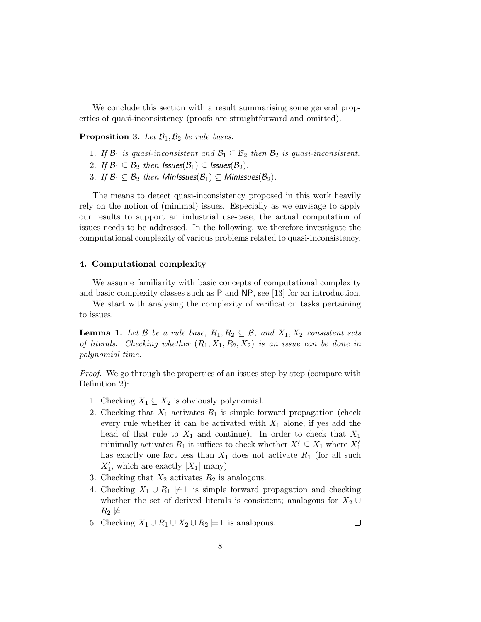We conclude this section with a result summarising some general properties of quasi-inconsistency (proofs are straightforward and omitted).

**Proposition 3.** Let  $\mathcal{B}_1, \mathcal{B}_2$  be rule bases.

- 1. If  $\mathcal{B}_1$  is quasi-inconsistent and  $\mathcal{B}_1 \subseteq \mathcal{B}_2$  then  $\mathcal{B}_2$  is quasi-inconsistent.
- 2. If  $\mathcal{B}_1 \subseteq \mathcal{B}_2$  then  $\mathsf{ISSues}(\mathcal{B}_1) \subseteq \mathsf{ISSues}(\mathcal{B}_2)$ .
- 3. If  $\mathcal{B}_1 \subseteq \mathcal{B}_2$  then MinIssues $(\mathcal{B}_1) \subseteq$  MinIssues $(\mathcal{B}_2)$ .

The means to detect quasi-inconsistency proposed in this work heavily rely on the notion of (minimal) issues. Especially as we envisage to apply our results to support an industrial use-case, the actual computation of issues needs to be addressed. In the following, we therefore investigate the computational complexity of various problems related to quasi-inconsistency.

## 4. Computational complexity

We assume familiarity with basic concepts of computational complexity and basic complexity classes such as P and NP, see [13] for an introduction.

We start with analysing the complexity of verification tasks pertaining to issues.

**Lemma 1.** Let B be a rule base,  $R_1, R_2 \subseteq \mathcal{B}$ , and  $X_1, X_2$  consistent sets of literals. Checking whether  $(R_1, X_1, R_2, X_2)$  is an issue can be done in polynomial time.

*Proof.* We go through the properties of an issues step by step (compare with Definition 2):

- 1. Checking  $X_1 \subseteq X_2$  is obviously polynomial.
- 2. Checking that  $X_1$  activates  $R_1$  is simple forward propagation (check every rule whether it can be activated with  $X_1$  alone; if yes add the head of that rule to  $X_1$  and continue). In order to check that  $X_1$ minimally activates  $R_1$  it suffices to check whether  $X'_1 \subseteq X_1$  where  $X'_1$ has exactly one fact less than  $X_1$  does not activate  $R_1$  (for all such  $X'_1$ , which are exactly  $|X_1|$  many)
- 3. Checking that  $X_2$  activates  $R_2$  is analogous.
- 4. Checking  $X_1 \cup R_1 \not\models \perp$  is simple forward propagation and checking whether the set of derived literals is consistent; analogous for  $X_2 \cup$  $R_2 \not\models \perp.$

 $\Box$ 

5. Checking  $X_1 \cup R_1 \cup X_2 \cup R_2 \models \perp$  is analogous.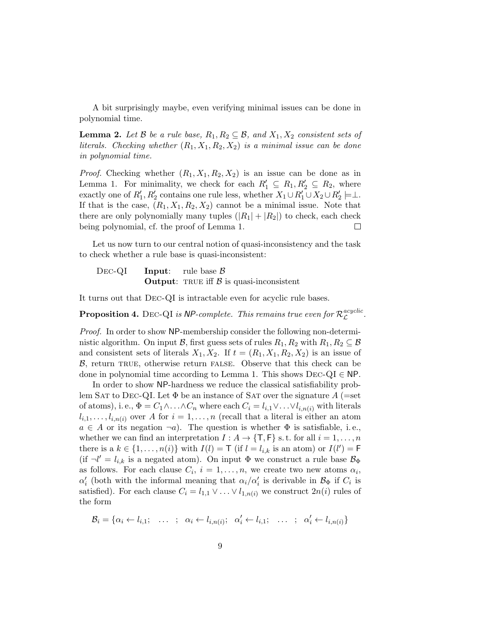A bit surprisingly maybe, even verifying minimal issues can be done in polynomial time.

**Lemma 2.** Let B be a rule base,  $R_1, R_2 \subseteq \mathcal{B}$ , and  $X_1, X_2$  consistent sets of literals. Checking whether  $(R_1, X_1, R_2, X_2)$  is a minimal issue can be done in polynomial time.

*Proof.* Checking whether  $(R_1, X_1, R_2, X_2)$  is an issue can be done as in Lemma 1. For minimality, we check for each  $R'_1 \subseteq R_1, R'_2 \subseteq R_2$ , where exactly one of  $R'_1, R'_2$  contains one rule less, whether  $X_1 \cup R'_1 \cup X_2 \cup R'_2 \models \perp$ . If that is the case,  $(R_1, X_1, R_2, X_2)$  cannot be a minimal issue. Note that there are only polynomially many tuples  $(|R_1| + |R_2|)$  to check, each check being polynomial, cf. the proof of Lemma 1.  $\Box$ 

Let us now turn to our central notion of quasi-inconsistency and the task to check whether a rule base is quasi-inconsistent:

DEC-QI **Input**: rule base  $\beta$ **Output:** TRUE iff  $\beta$  is quasi-inconsistent

It turns out that Dec-QI is intractable even for acyclic rule bases.

**Proposition 4.** DEC-QI is NP-complete. This remains true even for  $\mathcal{R}_\mathcal{C}^{acyclic}$ acycuc<br>L

Proof. In order to show NP-membership consider the following non-deterministic algorithm. On input B, first guess sets of rules  $R_1, R_2$  with  $R_1, R_2 \subseteq \mathcal{B}$ and consistent sets of literals  $X_1, X_2$ . If  $t = (R_1, X_1, R_2, X_2)$  is an issue of  $\beta$ , return TRUE, otherwise return FALSE. Observe that this check can be done in polynomial time according to Lemma 1. This shows  $\text{Dec-QL} \in \text{NP}$ .

In order to show NP-hardness we reduce the classical satisfiability problem SAT to DEC-QI. Let  $\Phi$  be an instance of SAT over the signature A (=set of atoms), i.e.,  $\Phi = C_1 \wedge \ldots \wedge C_n$  where each  $C_i = l_{i,1} \vee \ldots \vee l_{i,n(i)}$  with literals  $l_{i,1}, \ldots, l_{i,n(i)}$  over A for  $i = 1, \ldots, n$  (recall that a literal is either an atom  $a \in A$  or its negation  $\neg a$ ). The question is whether  $\Phi$  is satisfiable, i.e., whether we can find an interpretation  $I : A \to \{\mathsf{T},\mathsf{F}\}\$  s.t. for all  $i = 1,\ldots,n$ there is a  $k \in \{1, ..., n(i)\}$  with  $I(l) = T$  (if  $l = l_{i,k}$  is an atom) or  $I(l') = F$ (if  $\neg l' = l_{i,k}$  is a negated atom). On input  $\Phi$  we construct a rule base  $\mathcal{B}_{\Phi}$ as follows. For each clause  $C_i$ ,  $i = 1, ..., n$ , we create two new atoms  $\alpha_i$ ,  $\alpha'_i$  (both with the informal meaning that  $\alpha_i/\alpha'_i$  is derivable in  $\mathcal{B}_{\Phi}$  if  $C_i$  is satisfied). For each clause  $C_i = l_{1,1} \vee \ldots \vee l_{1,n(i)}$  we construct  $2n(i)$  rules of the form

$$
\mathcal{B}_i = \{ \alpha_i \leftarrow l_{i,1}; \quad \dots \quad ; \quad \alpha_i \leftarrow l_{i,n(i)}; \quad \alpha'_i \leftarrow l_{i,1}; \quad \dots \quad ; \quad \alpha'_i \leftarrow l_{i,n(i)} \}
$$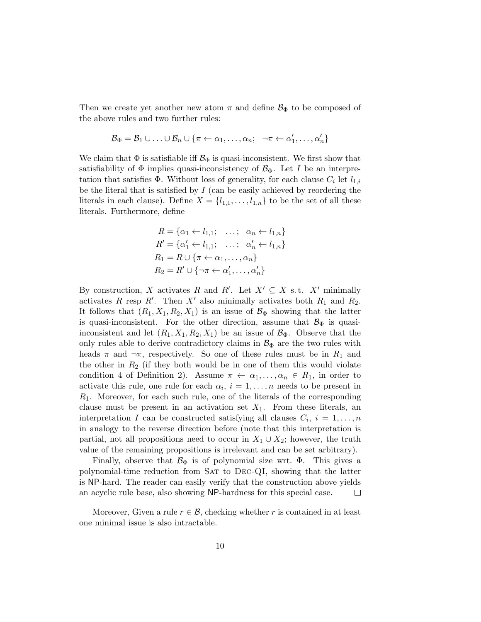Then we create yet another new atom  $\pi$  and define  $\mathcal{B}_{\Phi}$  to be composed of the above rules and two further rules:

$$
\mathcal{B}_{\Phi} = \mathcal{B}_1 \cup \ldots \cup \mathcal{B}_n \cup \{ \pi \leftarrow \alpha_1, \ldots, \alpha_n; \quad \neg \pi \leftarrow \alpha'_1, \ldots, \alpha'_n \}
$$

We claim that  $\Phi$  is satisfiable iff  $\mathcal{B}_{\Phi}$  is quasi-inconsistent. We first show that satisfiability of  $\Phi$  implies quasi-inconsistency of  $\mathcal{B}_{\Phi}$ . Let I be an interpretation that satisfies  $\Phi$ . Without loss of generality, for each clause  $C_i$  let  $l_{1,i}$ be the literal that is satisfied by  $I$  (can be easily achieved by reordering the literals in each clause). Define  $X = \{l_{1,1}, \ldots, l_{1,n}\}\)$  to be the set of all these literals. Furthermore, define

$$
R = \{ \alpha_1 \leftarrow l_{1,1}; \quad \dots; \quad \alpha_n \leftarrow l_{1,n} \}
$$
  
\n
$$
R' = \{ \alpha'_1 \leftarrow l_{1,1}; \quad \dots; \quad \alpha'_n \leftarrow l_{1,n} \}
$$
  
\n
$$
R_1 = R \cup \{ \pi \leftarrow \alpha_1, \dots, \alpha_n \}
$$
  
\n
$$
R_2 = R' \cup \{ \neg \pi \leftarrow \alpha'_1, \dots, \alpha'_n \}
$$

By construction, X activates R and R'. Let  $X' \subseteq X$  s.t.  $X'$  minimally activates R resp R'. Then X' also minimally activates both  $R_1$  and  $R_2$ . It follows that  $(R_1, X_1, R_2, X_1)$  is an issue of  $\mathcal{B}_{\Phi}$  showing that the latter is quasi-inconsistent. For the other direction, assume that  $\mathcal{B}_{\Phi}$  is quasiinconsistent and let  $(R_1, X_1, R_2, X_1)$  be an issue of  $\mathcal{B}_{\Phi}$ . Observe that the only rules able to derive contradictory claims in  $\mathcal{B}_{\Phi}$  are the two rules with heads  $\pi$  and  $\neg \pi$ , respectively. So one of these rules must be in  $R_1$  and the other in  $R_2$  (if they both would be in one of them this would violate condition 4 of Definition 2). Assume  $\pi \leftarrow \alpha_1, \ldots, \alpha_n \in R_1$ , in order to activate this rule, one rule for each  $\alpha_i$ ,  $i = 1, \ldots, n$  needs to be present in  $R_1$ . Moreover, for each such rule, one of the literals of the corresponding clause must be present in an activation set  $X_1$ . From these literals, an interpretation I can be constructed satisfying all clauses  $C_i$ ,  $i = 1, ..., n$ in analogy to the reverse direction before (note that this interpretation is partial, not all propositions need to occur in  $X_1 \cup X_2$ ; however, the truth value of the remaining propositions is irrelevant and can be set arbitrary).

Finally, observe that  $\mathcal{B}_{\Phi}$  is of polynomial size wrt.  $\Phi$ . This gives a polynomial-time reduction from Sat to Dec-QI, showing that the latter is NP-hard. The reader can easily verify that the construction above yields an acyclic rule base, also showing NP-hardness for this special case.  $\Box$ 

Moreover, Given a rule  $r \in \mathcal{B}$ , checking whether r is contained in at least one minimal issue is also intractable.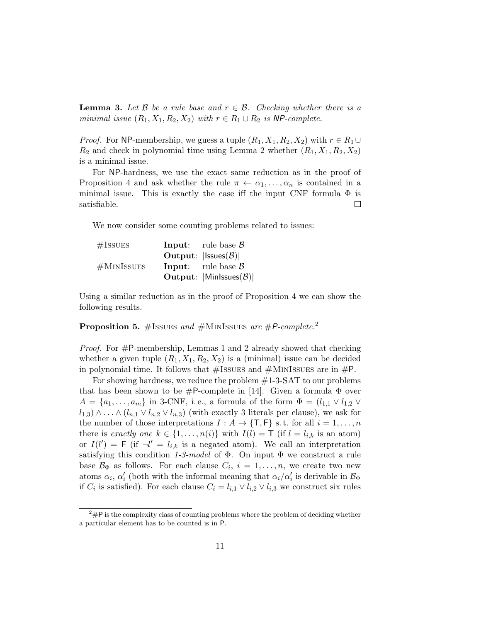**Lemma 3.** Let  $\beta$  be a rule base and  $r \in \beta$ . Checking whether there is a minimal issue  $(R_1, X_1, R_2, X_2)$  with  $r \in R_1 \cup R_2$  is NP-complete.

*Proof.* For NP-membership, we guess a tuple  $(R_1, X_1, R_2, X_2)$  with  $r \in R_1 \cup$  $R_2$  and check in polynomial time using Lemma 2 whether  $(R_1, X_1, R_2, X_2)$ is a minimal issue.

For NP-hardness, we use the exact same reduction as in the proof of Proposition 4 and ask whether the rule  $\pi \leftarrow \alpha_1, \ldots, \alpha_n$  is contained in a minimal issue. This is exactly the case iff the input CNF formula  $\Phi$  is satisfiable.  $\Box$ 

We now consider some counting problems related to issues:

| $\#\text{ISSUES}$ | <b>Input:</b> rule base $\beta$                         |
|-------------------|---------------------------------------------------------|
|                   | Output: $ {\sf Issues}({\cal B}) $                      |
| #MINISSUES        | <b>Input:</b> rule base $\beta$                         |
|                   | <b>Output:</b> $ \text{Min} \text{ssues}(\mathcal{B}) $ |

Using a similar reduction as in the proof of Proposition 4 we can show the following results.

**Proposition 5.** #ISSUES and #MINISSUES are #P-complete.<sup>2</sup>

*Proof.* For  $#P$ -membership, Lemmas 1 and 2 already showed that checking whether a given tuple  $(R_1, X_1, R_2, X_2)$  is a (minimal) issue can be decided in polynomial time. It follows that  $\#$ ISSUES and  $\#$ MINISSUES are in  $\#$ P.

For showing hardness, we reduce the problem #1-3-SAT to our problems that has been shown to be  $#P$ -complete in [14]. Given a formula  $\Phi$  over  $A = \{a_1, \ldots, a_m\}$  in 3-CNF, i.e., a formula of the form  $\Phi = (l_{1,1} \vee l_{1,2} \vee l_{1,3})$  $l_{1,3} \wedge \ldots \wedge (l_{n,1} \vee l_{n,2} \vee l_{n,3})$  (with exactly 3 literals per clause), we ask for the number of those interpretations  $I : A \to \{\mathsf{T}, \mathsf{F}\}\$  s.t. for all  $i = 1, \ldots, n$ there is exactly one  $k \in \{1, ..., n(i)\}$  with  $I(l) = \mathsf{T}$  (if  $l = l_{i,k}$  is an atom) or  $I(l') = F$  (if  $\neg l' = l_{i,k}$  is a negated atom). We call an interpretation satisfying this condition 1-3-model of  $\Phi$ . On input  $\Phi$  we construct a rule base  $\mathcal{B}_{\Phi}$  as follows. For each clause  $C_i$ ,  $i = 1, \ldots, n$ , we create two new atoms  $\alpha_i$ ,  $\alpha'_i$  (both with the informal meaning that  $\alpha_i/\alpha'_i$  is derivable in  $\mathcal{B}_{\Phi}$ if  $C_i$  is satisfied). For each clause  $C_i = l_{i,1} \vee l_{i,2} \vee l_{i,3}$  we construct six rules

 $2^2$ #P is the complexity class of counting problems where the problem of deciding whether a particular element has to be counted is in P.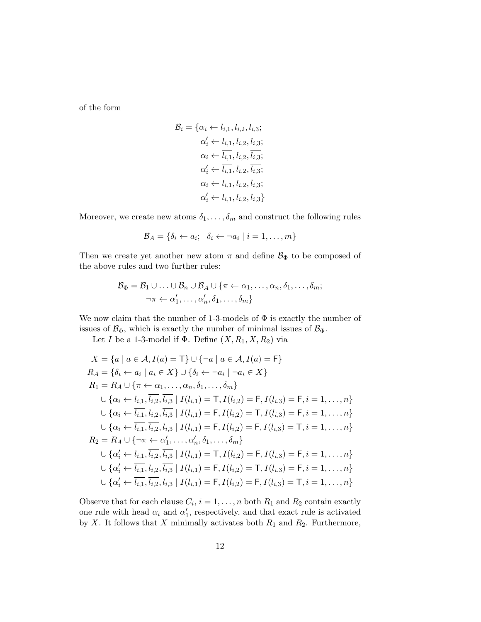of the form

$$
\mathcal{B}_{i} = \{ \alpha_{i} \leftarrow l_{i,1}, \overline{l_{i,2}}, \overline{l_{i,3}}; \n\alpha'_{i} \leftarrow l_{i,1}, \overline{l_{i,2}}, \overline{l_{i,3}}; \n\alpha_{i} \leftarrow \overline{l_{i,1}}, l_{i,2}, \overline{l_{i,3}}; \n\alpha'_{i} \leftarrow \overline{l_{i,1}}, l_{i,2}, \overline{l_{i,3}}; \n\alpha'_{i} \leftarrow \overline{l_{i,1}}, \overline{l_{i,2}}, l_{i,3}; \n\alpha'_{i} \leftarrow \overline{l_{i,1}}, \overline{l_{i,2}}, l_{i,3}; \n\alpha'_{i} \leftarrow \overline{l_{i,1}}, \overline{l_{i,2}}, l_{i,3};
$$

Moreover, we create new atoms  $\delta_1, \ldots, \delta_m$  and construct the following rules

$$
\mathcal{B}_A = \{ \delta_i \leftarrow a_i; \ \delta_i \leftarrow \neg a_i \mid i = 1, \dots, m \}
$$

Then we create yet another new atom  $\pi$  and define  $\mathcal{B}_{\Phi}$  to be composed of the above rules and two further rules:

$$
\mathcal{B}_{\Phi} = \mathcal{B}_1 \cup \ldots \cup \mathcal{B}_n \cup \mathcal{B}_A \cup \{\pi \leftarrow \alpha_1, \ldots, \alpha_n, \delta_1, \ldots, \delta_m; \neg \pi \leftarrow \alpha'_1, \ldots, \alpha'_n, \delta_1, \ldots, \delta_m \}
$$

We now claim that the number of 1-3-models of  $\Phi$  is exactly the number of issues of  $\mathcal{B}_{\Phi}$ , which is exactly the number of minimal issues of  $\mathcal{B}_{\Phi}$ .

Let I be a 1-3-model if  $\Phi$ . Define  $(X, R_1, X, R_2)$  via

$$
X = \{a \mid a \in A, I(a) = \top\} \cup \{\neg a \mid a \in A, I(a) = \Gamma\}
$$
  
\n
$$
R_A = \{\delta_i \leftarrow a_i \mid a_i \in X\} \cup \{\delta_i \leftarrow \neg a_i \mid \neg a_i \in X\}
$$
  
\n
$$
R_1 = R_A \cup \{\pi \leftarrow \alpha_1, \dots, \alpha_n, \delta_1, \dots, \delta_m\}
$$
  
\n
$$
\cup \{\alpha_i \leftarrow l_{i,1}, l_{i,2}, l_{i,3} \mid I(l_{i,1}) = \top, I(l_{i,2}) = \top, I(l_{i,3}) = \top, i = 1, \dots, n\}
$$
  
\n
$$
\cup \{\alpha_i \leftarrow l_{i,1}, l_{i,2}, l_{i,3} \mid I(l_{i,1}) = \top, I(l_{i,2}) = \top, I(l_{i,3}) = \top, i = 1, \dots, n\}
$$
  
\n
$$
\cup \{\alpha_i \leftarrow l_{i,1}, l_{i,2}, l_{i,3} \mid I(l_{i,1}) = \top, I(l_{i,2}) = \top, I(l_{i,3}) = \top, i = 1, \dots, n\}
$$
  
\n
$$
R_2 = R_A \cup \{\neg \pi \leftarrow \alpha'_1, \dots, \alpha'_n, \delta_1, \dots, \delta_m\}
$$
  
\n
$$
\cup \{\alpha'_i \leftarrow l_{i,1}, l_{i,2}, l_{i,3} \mid I(l_{i,1}) = \top, I(l_{i,2}) = \top, I(l_{i,3}) = \top, i = 1, \dots, n\}
$$
  
\n
$$
\cup \{\alpha'_i \leftarrow l_{i,1}, l_{i,2}, l_{i,3} \mid I(l_{i,1}) = \top, I(l_{i,2}) = \top, I(l_{i,3}) = \top, i = 1, \dots, n\}
$$
  
\n
$$
\cup \{\alpha'_i \leftarrow l_{i,1}, l_{i,2}, l_{i,3} \mid I(l_{i,1}) = \top, I(l_{i,2}) = \top, I(l_{i,3}) = \top, i = 1, \dots, n\}
$$
  
\n
$$
\cup \{\alpha'_i \leftarrow l_{i,1}, l_{i,2}, l_{i,3} \mid I(l_{i,1}) = \top, I(l_{i,2})
$$

Observe that for each clause  $C_i$ ,  $i = 1, ..., n$  both  $R_1$  and  $R_2$  contain exactly one rule with head  $\alpha_i$  and  $\alpha'_1$ , respectively, and that exact rule is activated by X. It follows that X minimally activates both  $R_1$  and  $R_2$ . Furthermore,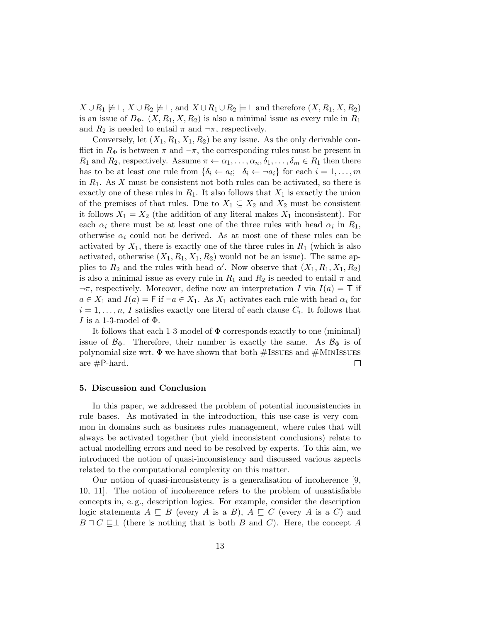$X \cup R_1 \not\models \perp, X \cup R_2 \not\models \perp, \text{ and } X \cup R_1 \cup R_2 \not\models \perp \text{ and therefore } (X, R_1, X, R_2)$ is an issue of  $B_{\Phi}$ .  $(X, R_1, X, R_2)$  is also a minimal issue as every rule in  $R_1$ and  $R_2$  is needed to entail  $\pi$  and  $\neg \pi$ , respectively.

Conversely, let  $(X_1, R_1, X_1, R_2)$  be any issue. As the only derivable conflict in  $R_{\Phi}$  is between  $\pi$  and  $\neg \pi$ , the corresponding rules must be present in  $R_1$  and  $R_2$ , respectively. Assume  $\pi \leftarrow \alpha_1, \ldots, \alpha_n, \delta_1, \ldots, \delta_m \in R_1$  then there has to be at least one rule from  $\{\delta_i \leftarrow a_i; \; \delta_i \leftarrow \neg a_i\}$  for each  $i = 1, \ldots, m$ in  $R_1$ . As X must be consistent not both rules can be activated, so there is exactly one of these rules in  $R_1$ . It also follows that  $X_1$  is exactly the union of the premises of that rules. Due to  $X_1 \subseteq X_2$  and  $X_2$  must be consistent it follows  $X_1 = X_2$  (the addition of any literal makes  $X_1$  inconsistent). For each  $\alpha_i$  there must be at least one of the three rules with head  $\alpha_i$  in  $R_1$ , otherwise  $\alpha_i$  could not be derived. As at most one of these rules can be activated by  $X_1$ , there is exactly one of the three rules in  $R_1$  (which is also activated, otherwise  $(X_1, R_1, X_1, R_2)$  would not be an issue). The same applies to  $R_2$  and the rules with head  $\alpha'$ . Now observe that  $(X_1, R_1, X_1, R_2)$ is also a minimal issue as every rule in  $R_1$  and  $R_2$  is needed to entail  $\pi$  and  $\neg \pi$ , respectively. Moreover, define now an interpretation I via  $I(a) = \top$  if  $a \in X_1$  and  $I(a) = F$  if  $\neg a \in X_1$ . As  $X_1$  activates each rule with head  $\alpha_i$  for  $i = 1, \ldots, n$ , I satisfies exactly one literal of each clause  $C_i$ . It follows that I is a 1-3-model of  $\Phi$ .

It follows that each 1-3-model of  $\Phi$  corresponds exactly to one (minimal) issue of  $\mathcal{B}_{\Phi}$ . Therefore, their number is exactly the same. As  $\mathcal{B}_{\Phi}$  is of polynomial size wrt.  $\Phi$  we have shown that both  $\# \textsc{Issu}\xspace$  and  $\# \textsc{Min}\xspace \textsc{Issu}\xspace$ are  $#P$ -hard.  $\Box$ 

## 5. Discussion and Conclusion

In this paper, we addressed the problem of potential inconsistencies in rule bases. As motivated in the introduction, this use-case is very common in domains such as business rules management, where rules that will always be activated together (but yield inconsistent conclusions) relate to actual modelling errors and need to be resolved by experts. To this aim, we introduced the notion of quasi-inconsistency and discussed various aspects related to the computational complexity on this matter.

Our notion of quasi-inconsistency is a generalisation of incoherence [9, 10, 11]. The notion of incoherence refers to the problem of unsatisfiable concepts in, e. g., description logics. For example, consider the description logic statements  $A \subseteq B$  (every A is a B),  $A \subseteq C$  (every A is a C) and  $B \sqcap C \sqsubseteq \perp$  (there is nothing that is both B and C). Here, the concept A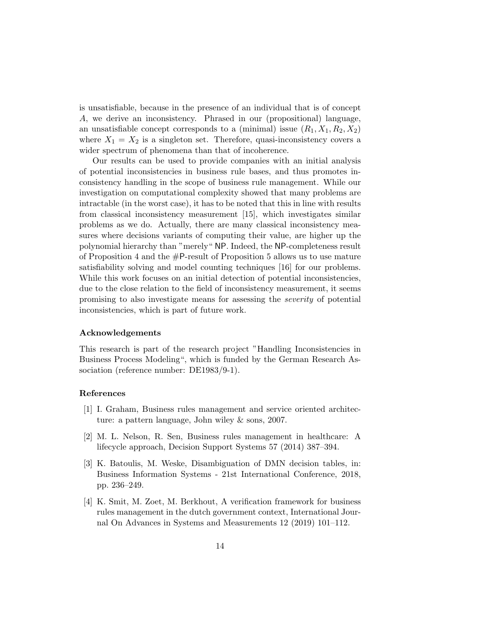is unsatisfiable, because in the presence of an individual that is of concept A, we derive an inconsistency. Phrased in our (propositional) language, an unsatisfiable concept corresponds to a (minimal) issue  $(R_1, X_1, R_2, X_2)$ where  $X_1 = X_2$  is a singleton set. Therefore, quasi-inconsistency covers a wider spectrum of phenomena than that of incoherence.

Our results can be used to provide companies with an initial analysis of potential inconsistencies in business rule bases, and thus promotes inconsistency handling in the scope of business rule management. While our investigation on computational complexity showed that many problems are intractable (in the worst case), it has to be noted that this in line with results from classical inconsistency measurement [15], which investigates similar problems as we do. Actually, there are many classical inconsistency measures where decisions variants of computing their value, are higher up the polynomial hierarchy than "merely" NP. Indeed, the NP-completeness result of Proposition 4 and the #P-result of Proposition 5 allows us to use mature satisfiability solving and model counting techniques [16] for our problems. While this work focuses on an initial detection of potential inconsistencies, due to the close relation to the field of inconsistency measurement, it seems promising to also investigate means for assessing the severity of potential inconsistencies, which is part of future work.

#### Acknowledgements

This research is part of the research project "Handling Inconsistencies in Business Process Modeling", which is funded by the German Research Association (reference number: DE1983/9-1).

#### References

- [1] I. Graham, Business rules management and service oriented architecture: a pattern language, John wiley & sons, 2007.
- [2] M. L. Nelson, R. Sen, Business rules management in healthcare: A lifecycle approach, Decision Support Systems 57 (2014) 387–394.
- [3] K. Batoulis, M. Weske, Disambiguation of DMN decision tables, in: Business Information Systems - 21st International Conference, 2018, pp. 236–249.
- [4] K. Smit, M. Zoet, M. Berkhout, A verification framework for business rules management in the dutch government context, International Journal On Advances in Systems and Measurements 12 (2019) 101–112.